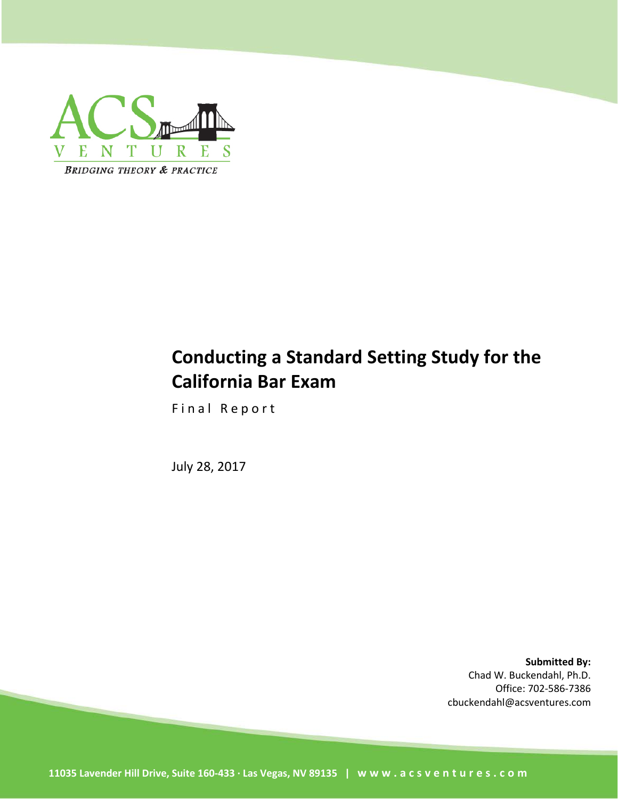

# **Conducting a Standard Setting Study for the California Bar Exam**

Final Report

July 28, 2017

**Submitted By:** Chad W. Buckendahl, Ph.D. Office: 702-586-7386 cbuckendahl@acsventures.com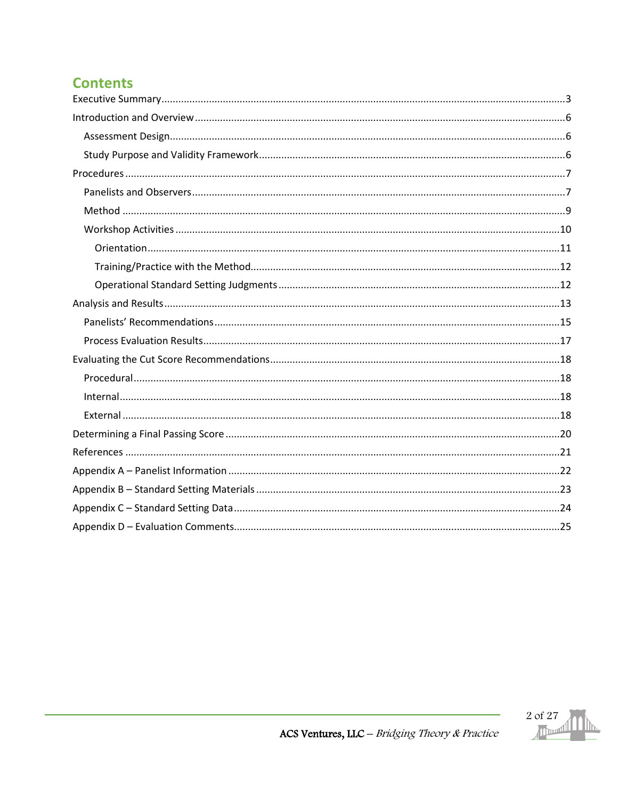## **Contents**

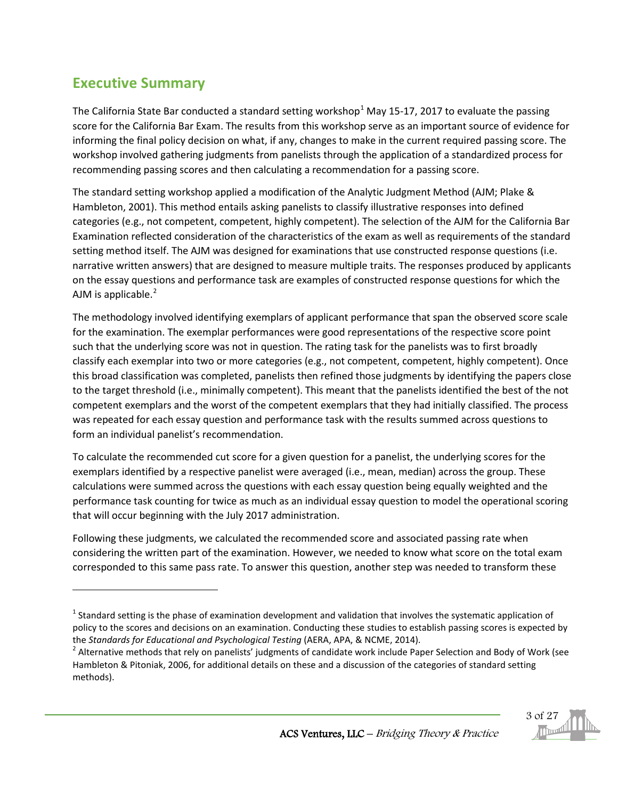## <span id="page-2-0"></span>**Executive Summary**

l

The California State Bar conducted a standard setting workshop<sup>[1](#page-2-1)</sup> May 15-17, 2017 to evaluate the passing score for the California Bar Exam. The results from this workshop serve as an important source of evidence for informing the final policy decision on what, if any, changes to make in the current required passing score. The workshop involved gathering judgments from panelists through the application of a standardized process for recommending passing scores and then calculating a recommendation for a passing score.

The standard setting workshop applied a modification of the Analytic Judgment Method (AJM; Plake & Hambleton, 2001). This method entails asking panelists to classify illustrative responses into defined categories (e.g., not competent, competent, highly competent). The selection of the AJM for the California Bar Examination reflected consideration of the characteristics of the exam as well as requirements of the standard setting method itself. The AJM was designed for examinations that use constructed response questions (i.e. narrative written answers) that are designed to measure multiple traits. The responses produced by applicants on the essay questions and performance task are examples of constructed response questions for which the AJM is applicable. $<sup>2</sup>$  $<sup>2</sup>$  $<sup>2</sup>$ </sup>

The methodology involved identifying exemplars of applicant performance that span the observed score scale for the examination. The exemplar performances were good representations of the respective score point such that the underlying score was not in question. The rating task for the panelists was to first broadly classify each exemplar into two or more categories (e.g., not competent, competent, highly competent). Once this broad classification was completed, panelists then refined those judgments by identifying the papers close to the target threshold (i.e., minimally competent). This meant that the panelists identified the best of the not competent exemplars and the worst of the competent exemplars that they had initially classified. The process was repeated for each essay question and performance task with the results summed across questions to form an individual panelist's recommendation.

To calculate the recommended cut score for a given question for a panelist, the underlying scores for the exemplars identified by a respective panelist were averaged (i.e., mean, median) across the group. These calculations were summed across the questions with each essay question being equally weighted and the performance task counting for twice as much as an individual essay question to model the operational scoring that will occur beginning with the July 2017 administration.

Following these judgments, we calculated the recommended score and associated passing rate when considering the written part of the examination. However, we needed to know what score on the total exam corresponded to this same pass rate. To answer this question, another step was needed to transform these

<span id="page-2-2"></span>Hambleton & Pitoniak, 2006, for additional details on these and a discussion of the categories of standard setting methods).



<span id="page-2-1"></span> $1$  Standard setting is the phase of examination development and validation that involves the systematic application of policy to the scores and decisions on an examination. Conducting these studies to establish passing scores is expected by the *Standards for Educational and Psychological Testing* (AERA, APA, & NCME, 2014).<br><sup>2</sup> Alternative methods that rely on panelists' judgments of candidate work include Paper Selection and Body of Work (see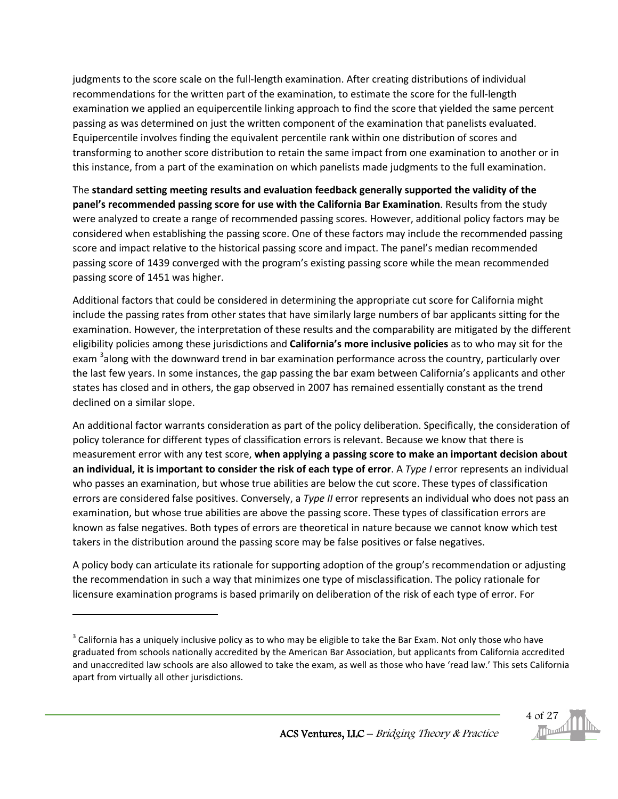judgments to the score scale on the full-length examination. After creating distributions of individual recommendations for the written part of the examination, to estimate the score for the full-length examination we applied an equipercentile linking approach to find the score that yielded the same percent passing as was determined on just the written component of the examination that panelists evaluated. Equipercentile involves finding the equivalent percentile rank within one distribution of scores and transforming to another score distribution to retain the same impact from one examination to another or in this instance, from a part of the examination on which panelists made judgments to the full examination.

The **standard setting meeting results and evaluation feedback generally supported the validity of the panel's recommended passing score for use with the California Bar Examination**. Results from the study were analyzed to create a range of recommended passing scores. However, additional policy factors may be considered when establishing the passing score. One of these factors may include the recommended passing score and impact relative to the historical passing score and impact. The panel's median recommended passing score of 1439 converged with the program's existing passing score while the mean recommended passing score of 1451 was higher.

Additional factors that could be considered in determining the appropriate cut score for California might include the passing rates from other states that have similarly large numbers of bar applicants sitting for the examination. However, the interpretation of these results and the comparability are mitigated by the different eligibility policies among these jurisdictions and **California's more inclusive policies** as to who may sit for the exam <sup>[3](#page-3-0)</sup>along with the downward trend in bar examination performance across the country, particularly over the last few years. In some instances, the gap passing the bar exam between California's applicants and other states has closed and in others, the gap observed in 2007 has remained essentially constant as the trend declined on a similar slope.

An additional factor warrants consideration as part of the policy deliberation. Specifically, the consideration of policy tolerance for different types of classification errors is relevant. Because we know that there is measurement error with any test score, **when applying a passing score to make an important decision about an individual, it is important to consider the risk of each type of error**. A *Type I* error represents an individual who passes an examination, but whose true abilities are below the cut score. These types of classification errors are considered false positives. Conversely, a *Type II* error represents an individual who does not pass an examination, but whose true abilities are above the passing score. These types of classification errors are known as false negatives. Both types of errors are theoretical in nature because we cannot know which test takers in the distribution around the passing score may be false positives or false negatives.

A policy body can articulate its rationale for supporting adoption of the group's recommendation or adjusting the recommendation in such a way that minimizes one type of misclassification. The policy rationale for licensure examination programs is based primarily on deliberation of the risk of each type of error. For

l

<span id="page-3-0"></span> $3$  California has a uniquely inclusive policy as to who may be eligible to take the Bar Exam. Not only those who have graduated from schools nationally accredited by the American Bar Association, but applicants from California accredited and unaccredited law schools are also allowed to take the exam, as well as those who have 'read law.' This sets California apart from virtually all other jurisdictions.

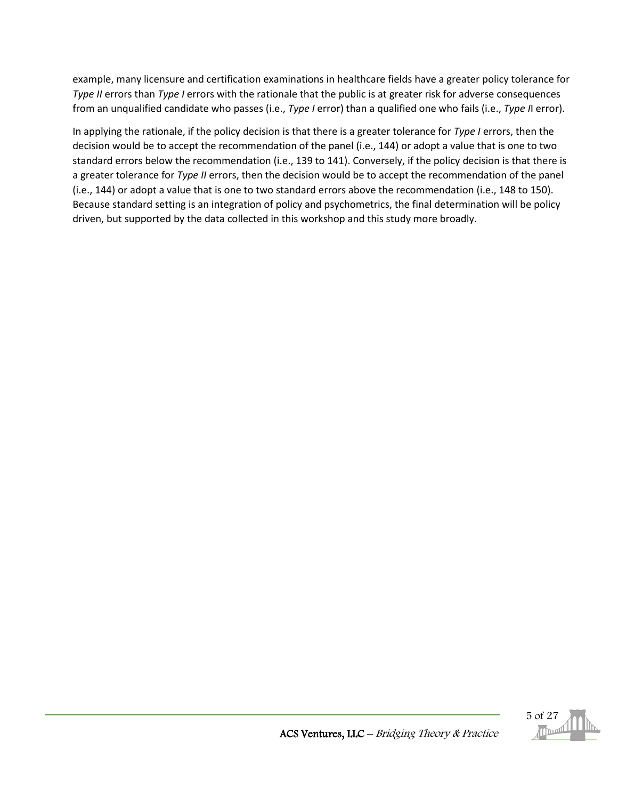example, many licensure and certification examinations in healthcare fields have a greater policy tolerance for *Type II* errors than *Type I* errors with the rationale that the public is at greater risk for adverse consequences from an unqualified candidate who passes (i.e., *Type I* error) than a qualified one who fails (i.e., *Type I*I error).

In applying the rationale, if the policy decision is that there is a greater tolerance for *Type I* errors, then the decision would be to accept the recommendation of the panel (i.e., 144) or adopt a value that is one to two standard errors below the recommendation (i.e., 139 to 141). Conversely, if the policy decision is that there is a greater tolerance for *Type II* errors, then the decision would be to accept the recommendation of the panel (i.e., 144) or adopt a value that is one to two standard errors above the recommendation (i.e., 148 to 150). Because standard setting is an integration of policy and psychometrics, the final determination will be policy driven, but supported by the data collected in this workshop and this study more broadly.

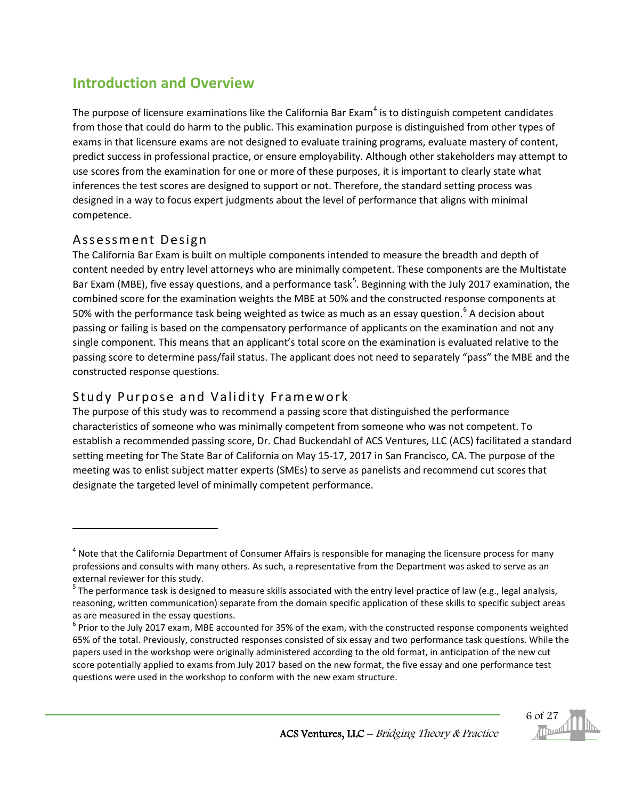## <span id="page-5-0"></span>**Introduction and Overview**

The purpose of licensure examinations like the California Bar Exam<sup>[4](#page-5-3)</sup> is to distinguish competent candidates from those that could do harm to the public. This examination purpose is distinguished from other types of exams in that licensure exams are not designed to evaluate training programs, evaluate mastery of content, predict success in professional practice, or ensure employability. Although other stakeholders may attempt to use scores from the examination for one or more of these purposes, it is important to clearly state what inferences the test scores are designed to support or not. Therefore, the standard setting process was designed in a way to focus expert judgments about the level of performance that aligns with minimal competence.

### <span id="page-5-1"></span>Assessment Design

l

The California Bar Exam is built on multiple components intended to measure the breadth and depth of content needed by entry level attorneys who are minimally competent. These components are the Multistate Bar Exam (MBE), five essay questions, and a performance task<sup>[5](#page-5-4)</sup>. Beginning with the July 2017 examination, the combined score for the examination weights the MBE at 50% and the constructed response components at 50% with the performance task being weighted as twice as much as an essay question.<sup>[6](#page-5-5)</sup> A decision about passing or failing is based on the compensatory performance of applicants on the examination and not any single component. This means that an applicant's total score on the examination is evaluated relative to the passing score to determine pass/fail status. The applicant does not need to separately "pass" the MBE and the constructed response questions.

### <span id="page-5-2"></span>Study Purpose and Validity Framework

The purpose of this study was to recommend a passing score that distinguished the performance characteristics of someone who was minimally competent from someone who was not competent. To establish a recommended passing score, Dr. Chad Buckendahl of ACS Ventures, LLC (ACS) facilitated a standard setting meeting for The State Bar of California on May 15-17, 2017 in San Francisco, CA. The purpose of the meeting was to enlist subject matter experts (SMEs) to serve as panelists and recommend cut scores that designate the targeted level of minimally competent performance.

<span id="page-5-5"></span> $<sup>6</sup>$  Prior to the July 2017 exam, MBE accounted for 35% of the exam, with the constructed response components weighted</sup> 65% of the total. Previously, constructed responses consisted of six essay and two performance task questions. While the papers used in the workshop were originally administered according to the old format, in anticipation of the new cut score potentially applied to exams from July 2017 based on the new format, the five essay and one performance test questions were used in the workshop to conform with the new exam structure.



<span id="page-5-3"></span><sup>&</sup>lt;sup>4</sup> Note that the California Department of Consumer Affairs is responsible for managing the licensure process for many professions and consults with many others. As such, a representative from the Department was asked to serve as an external reviewer for this study.

<span id="page-5-4"></span><sup>&</sup>lt;sup>5</sup> The performance task is designed to measure skills associated with the entry level practice of law (e.g., legal analysis, reasoning, written communication) separate from the domain specific application of these skills to specific subject areas as are measured in the essay questions.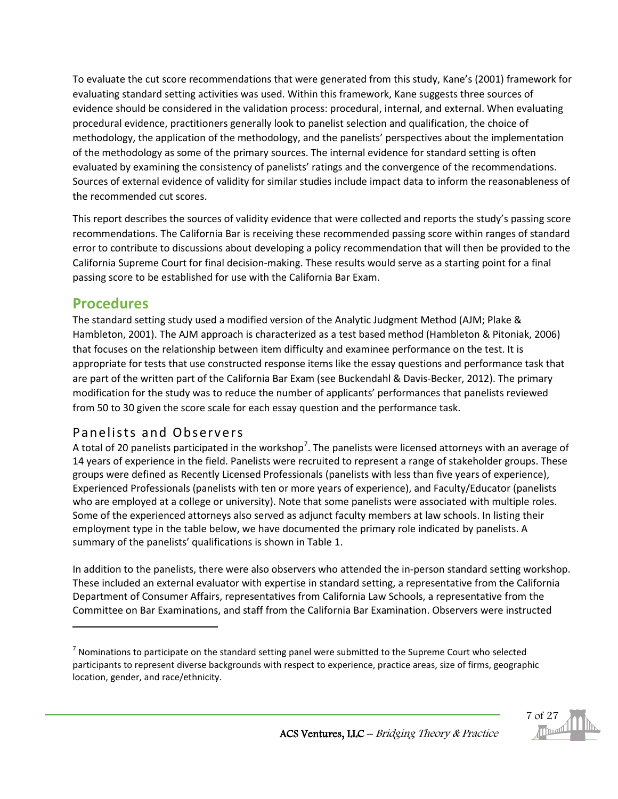To evaluate the cut score recommendations that were generated from this study, Kane's (2001) framework for evaluating standard setting activities was used. Within this framework, Kane suggests three sources of evidence should be considered in the validation process: procedural, internal, and external. When evaluating procedural evidence, practitioners generally look to panelist selection and qualification, the choice of methodology, the application of the methodology, and the panelists' perspectives about the implementation of the methodology as some of the primary sources. The internal evidence for standard setting is often evaluated by examining the consistency of panelists' ratings and the convergence of the recommendations. Sources of external evidence of validity for similar studies include impact data to inform the reasonableness of the recommended cut scores.

This report describes the sources of validity evidence that were collected and reports the study's passing score recommendations. The California Bar is receiving these recommended passing score within ranges of standard error to contribute to discussions about developing a policy recommendation that will then be provided to the California Supreme Court for final decision-making. These results would serve as a starting point for a final passing score to be established for use with the California Bar Exam.

### <span id="page-6-0"></span>**Procedures**

 $\overline{\phantom{a}}$ 

The standard setting study used a modified version of the Analytic Judgment Method (AJM; Plake & Hambleton, 2001). The AJM approach is characterized as a test based method (Hambleton & Pitoniak, 2006) that focuses on the relationship between item difficulty and examinee performance on the test. It is appropriate for tests that use constructed response items like the essay questions and performance task that are part of the written part of the California Bar Exam (see Buckendahl & Davis-Becker, 2012). The primary modification for the study was to reduce the number of applicants' performances that panelists reviewed from 50 to 30 given the score scale for each essay question and the performance task.

### <span id="page-6-1"></span>Panelists and Observers

A total of 20 panelists participated in the workshop<sup>[7](#page-6-2)</sup>. The panelists were licensed attorneys with an average of 14 years of experience in the field. Panelists were recruited to represent a range of stakeholder groups. These groups were defined as Recently Licensed Professionals (panelists with less than five years of experience), Experienced Professionals (panelists with ten or more years of experience), and Faculty/Educator (panelists who are employed at a college or university). Note that some panelists were associated with multiple roles. Some of the experienced attorneys also served as adjunct faculty members at law schools. In listing their employment type in the table below, we have documented the primary role indicated by panelists. A summary of the panelists' qualifications is shown in Table 1.

In addition to the panelists, there were also observers who attended the in-person standard setting workshop. These included an external evaluator with expertise in standard setting, a representative from the California Department of Consumer Affairs, representatives from California Law Schools, a representative from the Committee on Bar Examinations, and staff from the California Bar Examination. Observers were instructed

<span id="page-6-2"></span> $<sup>7</sup>$  Nominations to participate on the standard setting panel were submitted to the Supreme Court who selected</sup> participants to represent diverse backgrounds with respect to experience, practice areas, size of firms, geographic location, gender, and race/ethnicity.

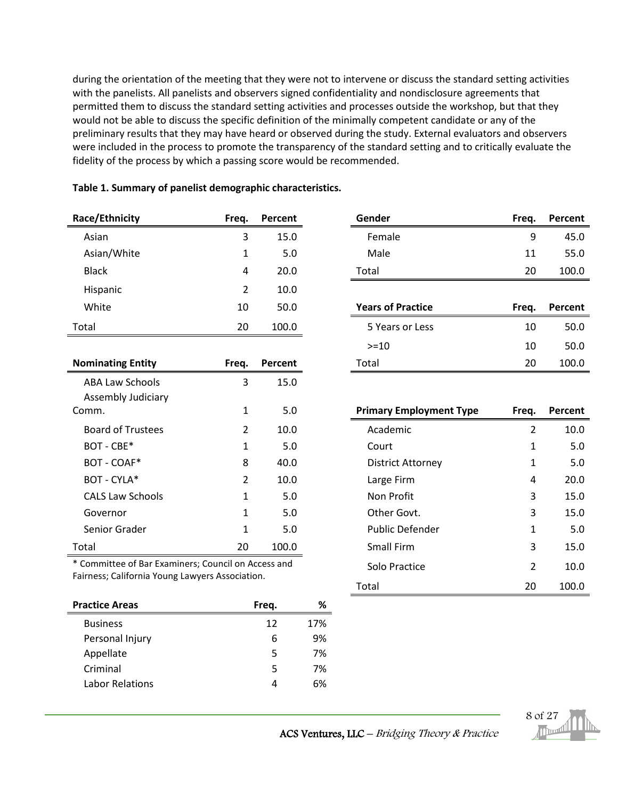during the orientation of the meeting that they were not to intervene or discuss the standard setting activities with the panelists. All panelists and observers signed confidentiality and nondisclosure agreements that permitted them to discuss the standard setting activities and processes outside the workshop, but that they would not be able to discuss the specific definition of the minimally competent candidate or any of the preliminary results that they may have heard or observed during the study. External evaluators and observers were included in the process to promote the transparency of the standard setting and to critically evaluate the fidelity of the process by which a passing score would be recommended.

| Race/Ethnicity | Freg. | Percent |
|----------------|-------|---------|
| Asian          | 3     | 15.0    |
| Asian/White    | 1     | 5.0     |
| <b>Black</b>   | 4     | 20.0    |
| Hispanic       | 2     | 10.0    |
| White          | 10    | 50.0    |
| Total          | 20    | 100.0   |

#### **Table 1. Summary of panelist demographic characteristics.**

| <b>Nominating Entity</b>  | Freq. | Percent | Total                          | 20    | 100.0   |
|---------------------------|-------|---------|--------------------------------|-------|---------|
| <b>ABA Law Schools</b>    | 3     | 15.0    |                                |       |         |
| <b>Assembly Judiciary</b> |       |         |                                |       |         |
| Comm.                     | 1     | 5.0     | <b>Primary Employment Type</b> | Freg. | Percent |
| <b>Board of Trustees</b>  | 2     | 10.0    | Academic                       | 2     | 10.0    |
| BOT - CBE*                | 1     | 5.0     | Court                          | 1     | 5.0     |
| BOT - COAF*               | 8     | 40.0    | <b>District Attorney</b>       | 1     | 5.0     |
| BOT - CYLA*               | 2     | 10.0    | Large Firm                     | 4     | 20.0    |
| <b>CALS Law Schools</b>   | 1     | 5.0     | Non Profit                     | 3     | 15.0    |
| Governor                  | 1     | 5.0     | Other Govt.                    | 3     | 15.0    |
| Senior Grader             | 1     | 5.0     | <b>Public Defender</b>         | 1     | 5.0     |
| Total                     | 20    | 100.0   | <b>Small Firm</b>              | 3     | 15.0    |

\* Committee of Bar Examiners; Council on Access and Fairness; California Young Lawyers Association.

| <b>Practice Areas</b> | Freq. | %   |
|-----------------------|-------|-----|
| <b>Business</b>       | 12    | 17% |
| Personal Injury       | 6     | 9%  |
| Appellate             | 5     | 7%  |
| Criminal              | 5     | 7%  |
| Labor Relations       |       | 6%  |

| Race/Ethnicity | Freg. | Percent | Gender | Freg. | Percent |
|----------------|-------|---------|--------|-------|---------|
| Asian          |       | 15.0    | Female | Q     | 45.0    |
| Asian/White    |       | 5.0     | Male   | 11    | 55.0    |
| <b>Black</b>   | 4     | 20.0    | Total  | 20    | 100.0   |

| White                    | 10    | 50.0    | <b>Years of Practice</b> | Freg. | Percent |
|--------------------------|-------|---------|--------------------------|-------|---------|
| Total                    | 20    | 100.0   | 5 Years or Less          | 10    | 50.0    |
|                          |       |         | $> = 10$                 | 10    | 50.0    |
| <b>Nominating Entity</b> | Freg. | Percent | Total                    | 20    | 100.0   |
|                          |       |         |                          |       |         |

| mm.                                               | 1              | 5.0           | <b>Primary Employment Type</b> | Freq. | Percent |
|---------------------------------------------------|----------------|---------------|--------------------------------|-------|---------|
| <b>Board of Trustees</b>                          | $\overline{2}$ | 10.0          | Academic                       | 2     | 10.0    |
| BOT - CBE*                                        | 1              | 5.0           | Court                          | 1     | 5.0     |
| BOT - COAF*                                       | 8              | 40.0          | <b>District Attorney</b>       | 1     | 5.0     |
| BOT - CYLA*                                       | 2              | 10.0          | Large Firm                     | 4     | 20.0    |
| <b>CALS Law Schools</b>                           | 1              | 5.0           | Non Profit                     | 3     | 15.0    |
| Governor                                          | 1              | 5.0           | Other Govt.                    | 3     | 15.0    |
| Senior Grader                                     | 1              | 5.0           | Public Defender                | 1     | 5.0     |
| tal                                               | 20             | 100.0         | Small Firm                     | 3     | 15.0    |
| Committee of Bar Examiners; Council on Access and |                | Solo Practice | 2                              | 10.0  |         |
| rness; California Young Lawyers Association.      |                |               | Total                          | 20    | 100.0   |



ACS Ventures, LLC – Bridging Theory & Practice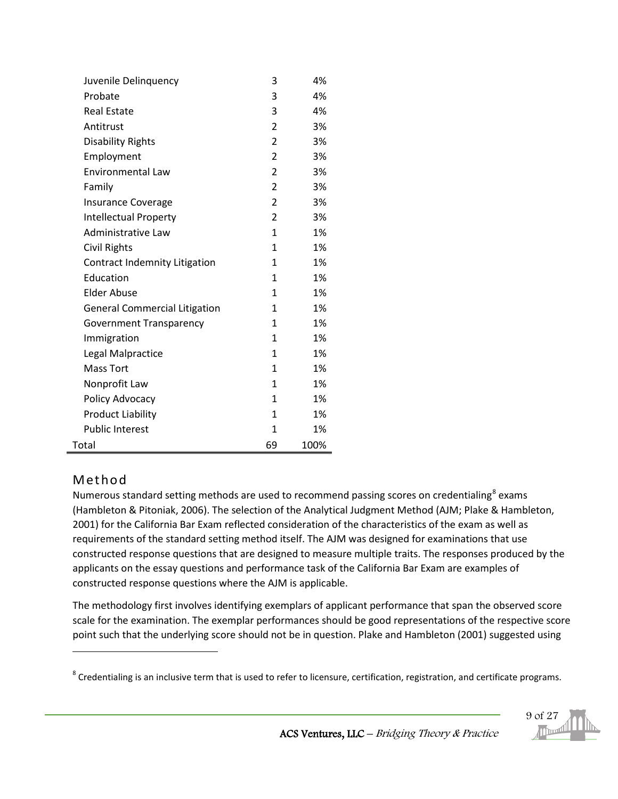| Juvenile Delinquency                 | 3  | 4%   |
|--------------------------------------|----|------|
| Probate                              | 3  | 4%   |
| <b>Real Estate</b>                   | 3  | 4%   |
| Antitrust                            | 2  | 3%   |
| <b>Disability Rights</b>             | 2  | 3%   |
| Employment                           | 2  | 3%   |
| <b>Environmental Law</b>             | 2  | 3%   |
| Family                               | 2  | 3%   |
| <b>Insurance Coverage</b>            | 2  | 3%   |
| <b>Intellectual Property</b>         | 2  | 3%   |
| Administrative Law                   | 1  | 1%   |
| Civil Rights                         | 1  | 1%   |
| Contract Indemnity Litigation        | 1  | 1%   |
| Education                            | 1  | 1%   |
| Elder Abuse                          | 1  | 1%   |
| <b>General Commercial Litigation</b> | 1  | 1%   |
| <b>Government Transparency</b>       | 1  | 1%   |
| Immigration                          | 1  | 1%   |
| Legal Malpractice                    | 1  | 1%   |
| <b>Mass Tort</b>                     | 1  | 1%   |
| Nonprofit Law                        | 1  | 1%   |
| Policy Advocacy                      | 1  | 1%   |
| <b>Product Liability</b>             | 1  | 1%   |
| <b>Public Interest</b>               | 1  | 1%   |
| Total                                | 69 | 100% |

### <span id="page-8-0"></span>Method

l

Numerous standard setting methods are used to recommend passing scores on credentialing<sup>[8](#page-8-1)</sup> exams (Hambleton & Pitoniak, 2006). The selection of the Analytical Judgment Method (AJM; Plake & Hambleton, 2001) for the California Bar Exam reflected consideration of the characteristics of the exam as well as requirements of the standard setting method itself. The AJM was designed for examinations that use constructed response questions that are designed to measure multiple traits. The responses produced by the applicants on the essay questions and performance task of the California Bar Exam are examples of constructed response questions where the AJM is applicable.

The methodology first involves identifying exemplars of applicant performance that span the observed score scale for the examination. The exemplar performances should be good representations of the respective score point such that the underlying score should not be in question. Plake and Hambleton (2001) suggested using

9 of 27

<span id="page-8-1"></span><sup>&</sup>lt;sup>8</sup> Credentialing is an inclusive term that is used to refer to licensure, certification, registration, and certificate programs.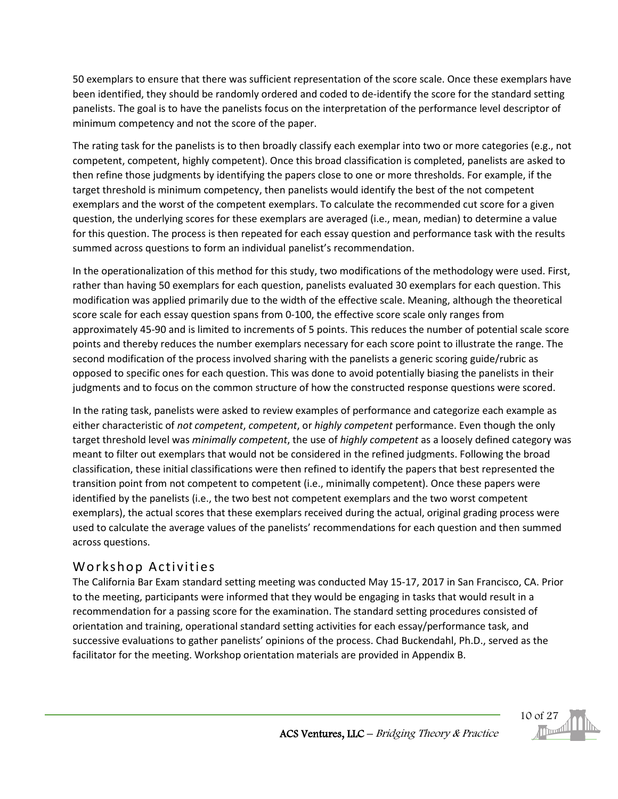50 exemplars to ensure that there was sufficient representation of the score scale. Once these exemplars have been identified, they should be randomly ordered and coded to de-identify the score for the standard setting panelists. The goal is to have the panelists focus on the interpretation of the performance level descriptor of minimum competency and not the score of the paper.

The rating task for the panelists is to then broadly classify each exemplar into two or more categories (e.g., not competent, competent, highly competent). Once this broad classification is completed, panelists are asked to then refine those judgments by identifying the papers close to one or more thresholds. For example, if the target threshold is minimum competency, then panelists would identify the best of the not competent exemplars and the worst of the competent exemplars. To calculate the recommended cut score for a given question, the underlying scores for these exemplars are averaged (i.e., mean, median) to determine a value for this question. The process is then repeated for each essay question and performance task with the results summed across questions to form an individual panelist's recommendation.

In the operationalization of this method for this study, two modifications of the methodology were used. First, rather than having 50 exemplars for each question, panelists evaluated 30 exemplars for each question. This modification was applied primarily due to the width of the effective scale. Meaning, although the theoretical score scale for each essay question spans from 0-100, the effective score scale only ranges from approximately 45-90 and is limited to increments of 5 points. This reduces the number of potential scale score points and thereby reduces the number exemplars necessary for each score point to illustrate the range. The second modification of the process involved sharing with the panelists a generic scoring guide/rubric as opposed to specific ones for each question. This was done to avoid potentially biasing the panelists in their judgments and to focus on the common structure of how the constructed response questions were scored.

In the rating task, panelists were asked to review examples of performance and categorize each example as either characteristic of *not competent*, *competent*, or *highly competent* performance. Even though the only target threshold level was *minimally competent*, the use of *highly competent* as a loosely defined category was meant to filter out exemplars that would not be considered in the refined judgments. Following the broad classification, these initial classifications were then refined to identify the papers that best represented the transition point from not competent to competent (i.e., minimally competent). Once these papers were identified by the panelists (i.e., the two best not competent exemplars and the two worst competent exemplars), the actual scores that these exemplars received during the actual, original grading process were used to calculate the average values of the panelists' recommendations for each question and then summed across questions.

### <span id="page-9-0"></span>Workshop Activities

The California Bar Exam standard setting meeting was conducted May 15-17, 2017 in San Francisco, CA. Prior to the meeting, participants were informed that they would be engaging in tasks that would result in a recommendation for a passing score for the examination. The standard setting procedures consisted of orientation and training, operational standard setting activities for each essay/performance task, and successive evaluations to gather panelists' opinions of the process. Chad Buckendahl, Ph.D., served as the facilitator for the meeting. Workshop orientation materials are provided in Appendix B.

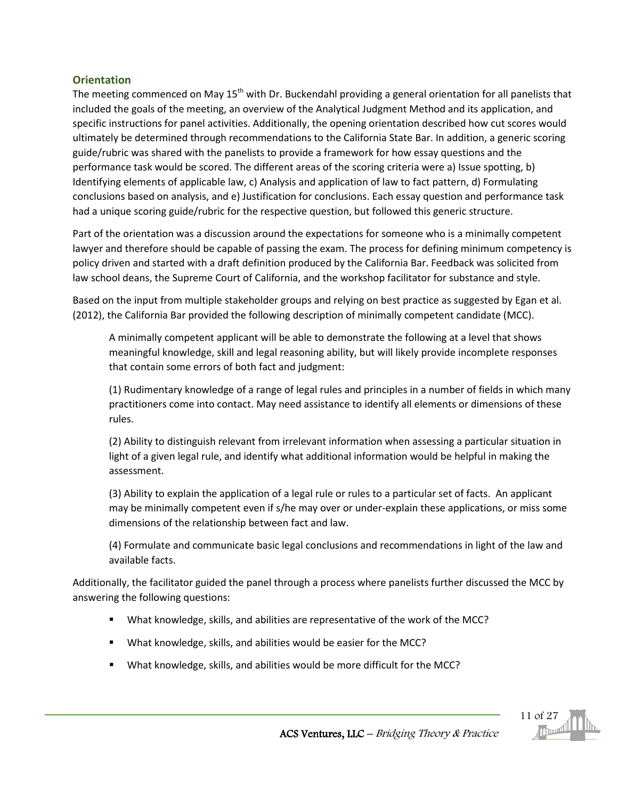#### <span id="page-10-0"></span>**Orientation**

The meeting commenced on May  $15<sup>th</sup>$  with Dr. Buckendahl providing a general orientation for all panelists that included the goals of the meeting, an overview of the Analytical Judgment Method and its application, and specific instructions for panel activities. Additionally, the opening orientation described how cut scores would ultimately be determined through recommendations to the California State Bar. In addition, a generic scoring guide/rubric was shared with the panelists to provide a framework for how essay questions and the performance task would be scored. The different areas of the scoring criteria were a) Issue spotting, b) Identifying elements of applicable law, c) Analysis and application of law to fact pattern, d) Formulating conclusions based on analysis, and e) Justification for conclusions. Each essay question and performance task had a unique scoring guide/rubric for the respective question, but followed this generic structure.

Part of the orientation was a discussion around the expectations for someone who is a minimally competent lawyer and therefore should be capable of passing the exam. The process for defining minimum competency is policy driven and started with a draft definition produced by the California Bar. Feedback was solicited from law school deans, the Supreme Court of California, and the workshop facilitator for substance and style.

Based on the input from multiple stakeholder groups and relying on best practice as suggested by Egan et al. (2012), the California Bar provided the following description of minimally competent candidate (MCC).

A minimally competent applicant will be able to demonstrate the following at a level that shows meaningful knowledge, skill and legal reasoning ability, but will likely provide incomplete responses that contain some errors of both fact and judgment:

(1) Rudimentary knowledge of a range of legal rules and principles in a number of fields in which many practitioners come into contact. May need assistance to identify all elements or dimensions of these rules.

(2) Ability to distinguish relevant from irrelevant information when assessing a particular situation in light of a given legal rule, and identify what additional information would be helpful in making the assessment.

(3) Ability to explain the application of a legal rule or rules to a particular set of facts. An applicant may be minimally competent even if s/he may over or under-explain these applications, or miss some dimensions of the relationship between fact and law.

(4) Formulate and communicate basic legal conclusions and recommendations in light of the law and available facts.

Additionally, the facilitator guided the panel through a process where panelists further discussed the MCC by answering the following questions:

- What knowledge, skills, and abilities are representative of the work of the MCC?
- **What knowledge, skills, and abilities would be easier for the MCC?**
- **What knowledge, skills, and abilities would be more difficult for the MCC?**

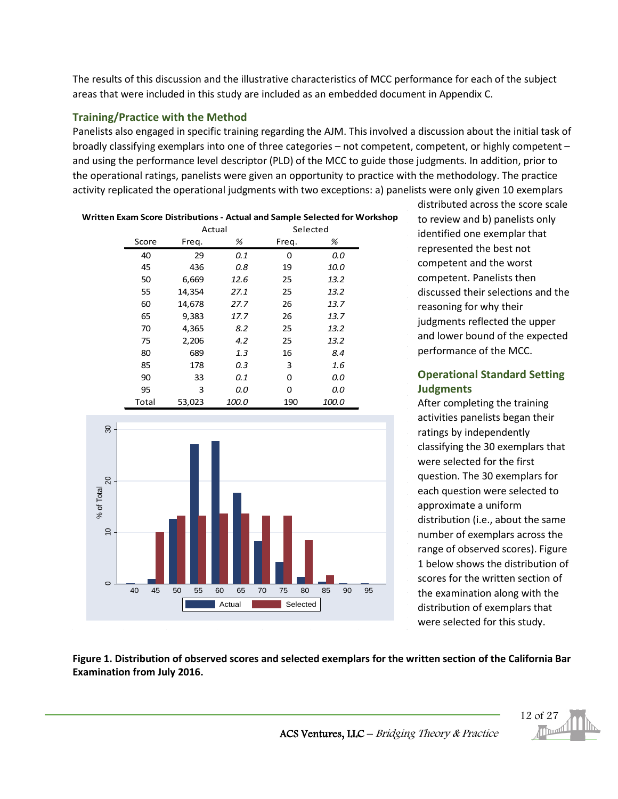The results of this discussion and the illustrative characteristics of MCC performance for each of the subject areas that were included in this study are included as an embedded document in Appendix C.

#### <span id="page-11-0"></span>**Training/Practice with the Method**

Panelists also engaged in specific training regarding the AJM. This involved a discussion about the initial task of broadly classifying exemplars into one of three categories – not competent, competent, or highly competent – and using the performance level descriptor (PLD) of the MCC to guide those judgments. In addition, prior to the operational ratings, panelists were given an opportunity to practice with the methodology. The practice activity replicated the operational judgments with two exceptions: a) panelists were only given 10 exemplars

| Written Exam Score Distributions - Actual and Sample Selected for Workshop |       |        |              |       |              |  |  |
|----------------------------------------------------------------------------|-------|--------|--------------|-------|--------------|--|--|
|                                                                            |       | Actual |              |       | Selected     |  |  |
|                                                                            | Score | Freq.  | %            | Freq. | %            |  |  |
|                                                                            | 40    | 29     | 0.1          | 0     | 0.0          |  |  |
|                                                                            | 45    | 436    | 0.8          | 19    | 10.0         |  |  |
|                                                                            | 50    | 6,669  | 12.6         | 25    | 13.2         |  |  |
|                                                                            | 55    | 14,354 | 27.1         | 25    | 13.2         |  |  |
|                                                                            | 60    | 14,678 | 27.7         | 26    | 13.7         |  |  |
|                                                                            | 65    | 9,383  | 17.7         | 26    | 13.7         |  |  |
|                                                                            | 70    | 4,365  | 8.2          | 25    | 13.2         |  |  |
|                                                                            | 75    | 2,206  | 4.2          | 25    | 13.2         |  |  |
|                                                                            | 80    | 689    | 1.3          | 16    | 8.4          |  |  |
|                                                                            | 85    | 178    | 0.3          | 3     | 1.6          |  |  |
|                                                                            | 90    | 33     | 0.1          | 0     | 0.0          |  |  |
|                                                                            | 95    | 3      | 0.0          | 0     | 0.0          |  |  |
|                                                                            | Total | 53,023 | <i>100.0</i> | 190   | <i>100.0</i> |  |  |



distributed across the score scale to review and b) panelists only identified one exemplar that represented the best not competent and the worst competent. Panelists then discussed their selections and the reasoning for why their judgments reflected the upper and lower bound of the expected performance of the MCC.

#### <span id="page-11-1"></span>**Operational Standard Setting Judgments**

After completing the training activities panelists began their ratings by independently classifying the 30 exemplars that were selected for the first question. The 30 exemplars for each question were selected to approximate a uniform distribution (i.e., about the same number of exemplars across the range of observed scores). Figure 1 below shows the distribution of scores for the written section of the examination along with the distribution of exemplars that were selected for this study.

#### **Figure 1. Distribution of observed scores and selected exemplars for the written section of the California Bar Examination from July 2016.**

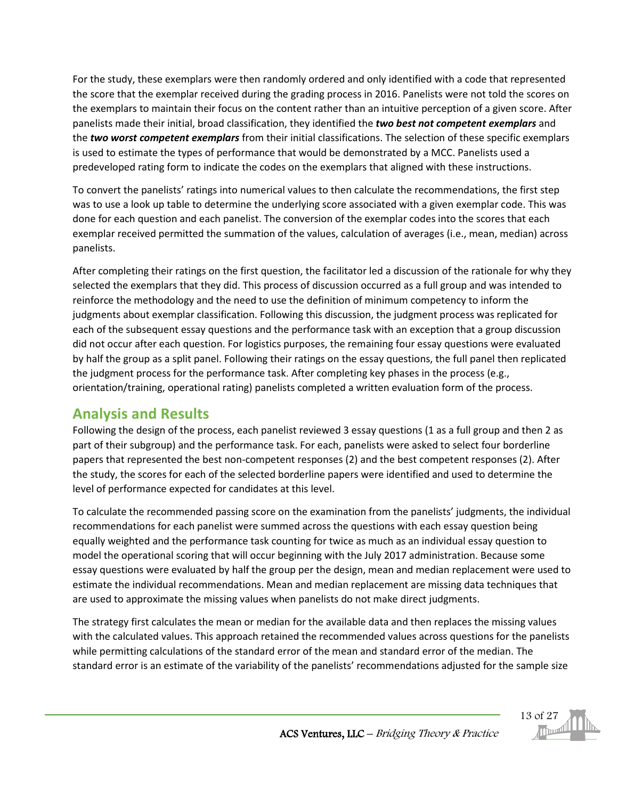For the study, these exemplars were then randomly ordered and only identified with a code that represented the score that the exemplar received during the grading process in 2016. Panelists were not told the scores on the exemplars to maintain their focus on the content rather than an intuitive perception of a given score. After panelists made their initial, broad classification, they identified the *two best not competent exemplars* and the *two worst competent exemplars* from their initial classifications. The selection of these specific exemplars is used to estimate the types of performance that would be demonstrated by a MCC. Panelists used a predeveloped rating form to indicate the codes on the exemplars that aligned with these instructions.

To convert the panelists' ratings into numerical values to then calculate the recommendations, the first step was to use a look up table to determine the underlying score associated with a given exemplar code. This was done for each question and each panelist. The conversion of the exemplar codes into the scores that each exemplar received permitted the summation of the values, calculation of averages (i.e., mean, median) across panelists.

After completing their ratings on the first question, the facilitator led a discussion of the rationale for why they selected the exemplars that they did. This process of discussion occurred as a full group and was intended to reinforce the methodology and the need to use the definition of minimum competency to inform the judgments about exemplar classification. Following this discussion, the judgment process was replicated for each of the subsequent essay questions and the performance task with an exception that a group discussion did not occur after each question. For logistics purposes, the remaining four essay questions were evaluated by half the group as a split panel. Following their ratings on the essay questions, the full panel then replicated the judgment process for the performance task. After completing key phases in the process (e.g., orientation/training, operational rating) panelists completed a written evaluation form of the process.

### <span id="page-12-0"></span>**Analysis and Results**

Following the design of the process, each panelist reviewed 3 essay questions (1 as a full group and then 2 as part of their subgroup) and the performance task. For each, panelists were asked to select four borderline papers that represented the best non-competent responses (2) and the best competent responses (2). After the study, the scores for each of the selected borderline papers were identified and used to determine the level of performance expected for candidates at this level.

To calculate the recommended passing score on the examination from the panelists' judgments, the individual recommendations for each panelist were summed across the questions with each essay question being equally weighted and the performance task counting for twice as much as an individual essay question to model the operational scoring that will occur beginning with the July 2017 administration. Because some essay questions were evaluated by half the group per the design, mean and median replacement were used to estimate the individual recommendations. Mean and median replacement are missing data techniques that are used to approximate the missing values when panelists do not make direct judgments.

The strategy first calculates the mean or median for the available data and then replaces the missing values with the calculated values. This approach retained the recommended values across questions for the panelists while permitting calculations of the standard error of the mean and standard error of the median. The standard error is an estimate of the variability of the panelists' recommendations adjusted for the sample size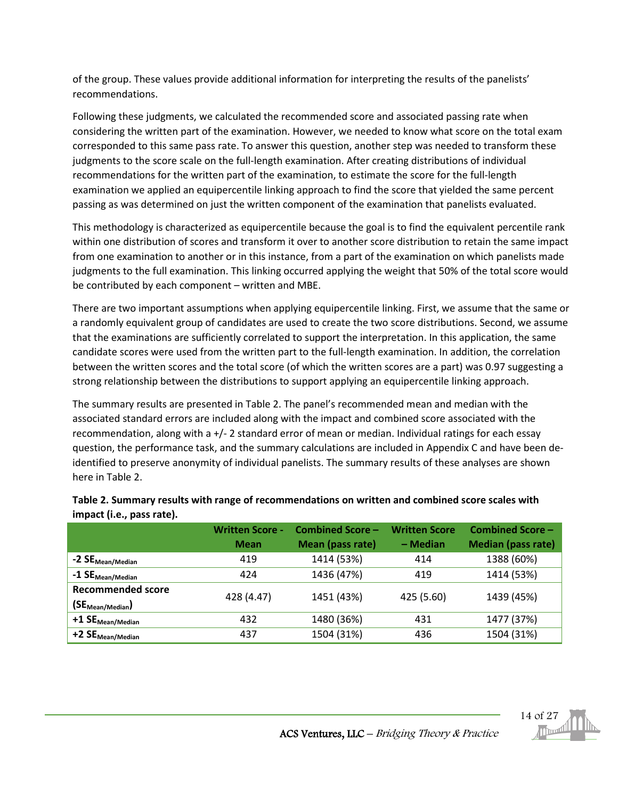of the group. These values provide additional information for interpreting the results of the panelists' recommendations.

Following these judgments, we calculated the recommended score and associated passing rate when considering the written part of the examination. However, we needed to know what score on the total exam corresponded to this same pass rate. To answer this question, another step was needed to transform these judgments to the score scale on the full-length examination. After creating distributions of individual recommendations for the written part of the examination, to estimate the score for the full-length examination we applied an equipercentile linking approach to find the score that yielded the same percent passing as was determined on just the written component of the examination that panelists evaluated.

This methodology is characterized as equipercentile because the goal is to find the equivalent percentile rank within one distribution of scores and transform it over to another score distribution to retain the same impact from one examination to another or in this instance, from a part of the examination on which panelists made judgments to the full examination. This linking occurred applying the weight that 50% of the total score would be contributed by each component – written and MBE.

There are two important assumptions when applying equipercentile linking. First, we assume that the same or a randomly equivalent group of candidates are used to create the two score distributions. Second, we assume that the examinations are sufficiently correlated to support the interpretation. In this application, the same candidate scores were used from the written part to the full-length examination. In addition, the correlation between the written scores and the total score (of which the written scores are a part) was 0.97 suggesting a strong relationship between the distributions to support applying an equipercentile linking approach.

The summary results are presented in Table 2. The panel's recommended mean and median with the associated standard errors are included along with the impact and combined score associated with the recommendation, along with a +/- 2 standard error of mean or median. Individual ratings for each essay question, the performance task, and the summary calculations are included in Appendix C and have been deidentified to preserve anonymity of individual panelists. The summary results of these analyses are shown here in Table 2.

|                                                  | <b>Written Score -</b><br><b>Mean</b> | <b>Combined Score -</b><br>Mean (pass rate) | <b>Written Score</b><br>- Median | <b>Combined Score -</b><br><b>Median (pass rate)</b> |
|--------------------------------------------------|---------------------------------------|---------------------------------------------|----------------------------------|------------------------------------------------------|
| . -2 SE <sub>Mean/Median</sub>                   | 419                                   | 1414 (53%)                                  | 414                              | 1388 (60%)                                           |
| $\sim$ -1 SE $_{\text{Mean/Median}}$             | 424                                   | 1436 (47%)                                  | 419                              | 1414 (53%)                                           |
| <b>Recommended score</b><br>$(SE_{Mean/Median})$ | 428 (4.47)                            | 1451 (43%)                                  | 425 (5.60)                       | 1439 (45%)                                           |
| $+1$ $SE_{Mean/Median}$                          | 432                                   | 1480 (36%)                                  | 431                              | 1477 (37%)                                           |
| $+2$ $SE_{Mean/Median}$                          | 437                                   | 1504 (31%)                                  | 436                              | 1504 (31%)                                           |

#### **Table 2. Summary results with range of recommendations on written and combined score scales with impact (i.e., pass rate).**

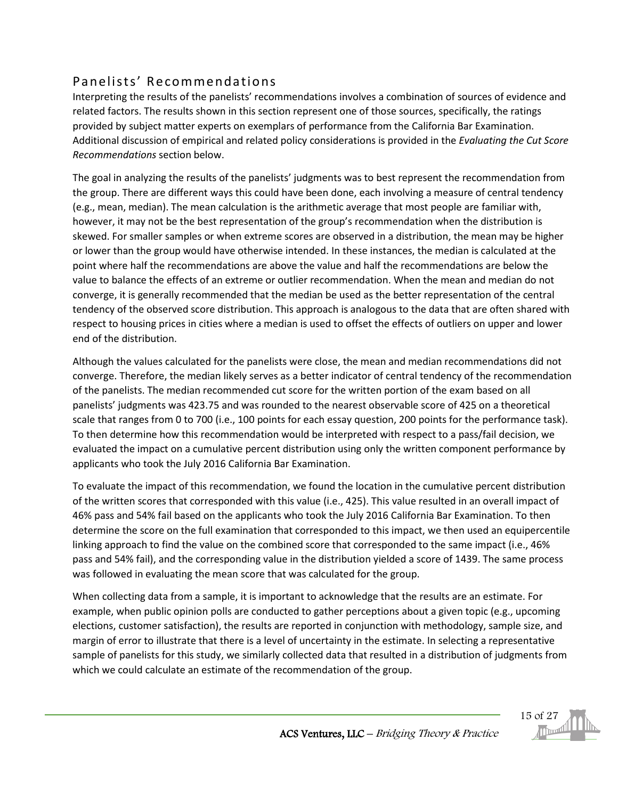### <span id="page-14-0"></span>Panelists' Recommendations

Interpreting the results of the panelists' recommendations involves a combination of sources of evidence and related factors. The results shown in this section represent one of those sources, specifically, the ratings provided by subject matter experts on exemplars of performance from the California Bar Examination. Additional discussion of empirical and related policy considerations is provided in the *Evaluating the Cut Score Recommendations* section below.

The goal in analyzing the results of the panelists' judgments was to best represent the recommendation from the group. There are different ways this could have been done, each involving a measure of central tendency (e.g., mean, median). The mean calculation is the arithmetic average that most people are familiar with, however, it may not be the best representation of the group's recommendation when the distribution is skewed. For smaller samples or when extreme scores are observed in a distribution, the mean may be higher or lower than the group would have otherwise intended. In these instances, the median is calculated at the point where half the recommendations are above the value and half the recommendations are below the value to balance the effects of an extreme or outlier recommendation. When the mean and median do not converge, it is generally recommended that the median be used as the better representation of the central tendency of the observed score distribution. This approach is analogous to the data that are often shared with respect to housing prices in cities where a median is used to offset the effects of outliers on upper and lower end of the distribution.

Although the values calculated for the panelists were close, the mean and median recommendations did not converge. Therefore, the median likely serves as a better indicator of central tendency of the recommendation of the panelists. The median recommended cut score for the written portion of the exam based on all panelists' judgments was 423.75 and was rounded to the nearest observable score of 425 on a theoretical scale that ranges from 0 to 700 (i.e., 100 points for each essay question, 200 points for the performance task). To then determine how this recommendation would be interpreted with respect to a pass/fail decision, we evaluated the impact on a cumulative percent distribution using only the written component performance by applicants who took the July 2016 California Bar Examination.

To evaluate the impact of this recommendation, we found the location in the cumulative percent distribution of the written scores that corresponded with this value (i.e., 425). This value resulted in an overall impact of 46% pass and 54% fail based on the applicants who took the July 2016 California Bar Examination. To then determine the score on the full examination that corresponded to this impact, we then used an equipercentile linking approach to find the value on the combined score that corresponded to the same impact (i.e., 46% pass and 54% fail), and the corresponding value in the distribution yielded a score of 1439. The same process was followed in evaluating the mean score that was calculated for the group.

When collecting data from a sample, it is important to acknowledge that the results are an estimate. For example, when public opinion polls are conducted to gather perceptions about a given topic (e.g., upcoming elections, customer satisfaction), the results are reported in conjunction with methodology, sample size, and margin of error to illustrate that there is a level of uncertainty in the estimate. In selecting a representative sample of panelists for this study, we similarly collected data that resulted in a distribution of judgments from which we could calculate an estimate of the recommendation of the group.

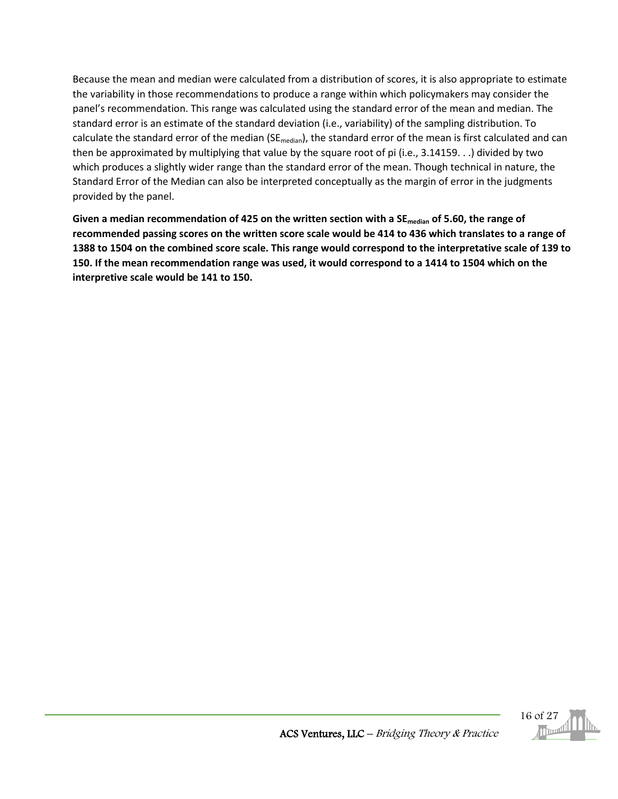Because the mean and median were calculated from a distribution of scores, it is also appropriate to estimate the variability in those recommendations to produce a range within which policymakers may consider the panel's recommendation. This range was calculated using the standard error of the mean and median. The standard error is an estimate of the standard deviation (i.e., variability) of the sampling distribution. To calculate the standard error of the median (SE<sub>median</sub>), the standard error of the mean is first calculated and can then be approximated by multiplying that value by the square root of pi (i.e., 3.14159. . .) divided by two which produces a slightly wider range than the standard error of the mean. Though technical in nature, the Standard Error of the Median can also be interpreted conceptually as the margin of error in the judgments provided by the panel.

**Given a median recommendation of 425 on the written section with a SEmedian of 5.60, the range of recommended passing scores on the written score scale would be 414 to 436 which translates to a range of 1388 to 1504 on the combined score scale. This range would correspond to the interpretative scale of 139 to 150. If the mean recommendation range was used, it would correspond to a 1414 to 1504 which on the interpretive scale would be 141 to 150.**

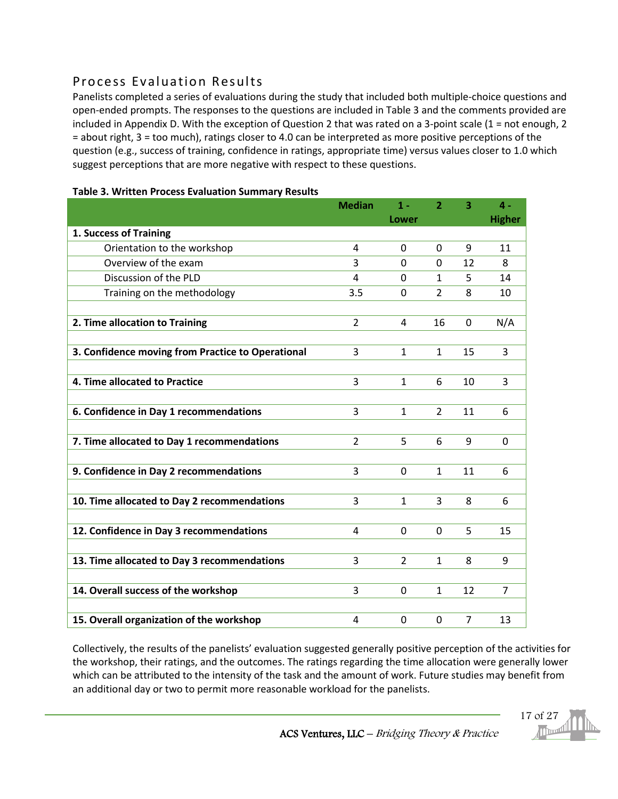### <span id="page-16-0"></span>Process Evaluation Results

Panelists completed a series of evaluations during the study that included both multiple-choice questions and open-ended prompts. The responses to the questions are included in Table 3 and the comments provided are included in Appendix D. With the exception of Question 2 that was rated on a 3-point scale (1 = not enough, 2 = about right, 3 = too much), ratings closer to 4.0 can be interpreted as more positive perceptions of the question (e.g., success of training, confidence in ratings, appropriate time) versus values closer to 1.0 which suggest perceptions that are more negative with respect to these questions.

|                                                   | <b>Median</b>  | $1 -$          | $\overline{2}$ | 3              | $\mathbf{4}$ - |
|---------------------------------------------------|----------------|----------------|----------------|----------------|----------------|
|                                                   |                | Lower          |                |                | <b>Higher</b>  |
| 1. Success of Training                            |                |                |                |                |                |
| Orientation to the workshop                       | $\overline{4}$ | $\Omega$       | $\Omega$       | 9              | 11             |
| Overview of the exam                              | 3              | $\Omega$       | $\Omega$       | 12             | 8              |
| Discussion of the PLD                             | $\overline{a}$ | $\Omega$       | $\mathbf{1}$   | 5              | 14             |
| Training on the methodology                       | 3.5            | $\Omega$       | $\overline{2}$ | 8              | 10             |
|                                                   |                |                |                |                |                |
| 2. Time allocation to Training                    | $\overline{2}$ | 4              | 16             | $\mathbf 0$    | N/A            |
|                                                   |                |                |                |                |                |
| 3. Confidence moving from Practice to Operational | 3              | $\mathbf{1}$   | $\mathbf{1}$   | 15             | 3              |
|                                                   |                |                |                |                |                |
| 4. Time allocated to Practice                     | 3              | $\mathbf{1}$   | 6              | 10             | 3              |
|                                                   |                |                |                |                |                |
| 6. Confidence in Day 1 recommendations            | 3              | $\mathbf{1}$   | $\overline{2}$ | 11             | 6              |
|                                                   |                |                |                |                |                |
| 7. Time allocated to Day 1 recommendations        | $\overline{2}$ | 5              | 6              | 9              | $\mathbf{0}$   |
|                                                   |                |                |                |                |                |
| 9. Confidence in Day 2 recommendations            | 3              | $\mathbf 0$    | $\mathbf{1}$   | 11             | 6              |
|                                                   |                |                |                |                |                |
| 10. Time allocated to Day 2 recommendations       | 3              | $\mathbf{1}$   | 3              | 8              | 6              |
|                                                   |                |                |                |                |                |
| 12. Confidence in Day 3 recommendations           | 4              | $\Omega$       | $\mathbf 0$    | 5              | 15             |
|                                                   |                |                |                |                |                |
| 13. Time allocated to Day 3 recommendations       | 3              | $\overline{2}$ | $\mathbf{1}$   | 8              | 9              |
|                                                   |                |                |                |                |                |
| 14. Overall success of the workshop               | 3              | $\mathbf 0$    | $\mathbf{1}$   | 12             | $\overline{7}$ |
|                                                   |                |                |                |                |                |
| 15. Overall organization of the workshop          | 4              | $\Omega$       | $\overline{0}$ | $\overline{7}$ | 13             |

#### **Table 3. Written Process Evaluation Summary Results**

Collectively, the results of the panelists' evaluation suggested generally positive perception of the activities for the workshop, their ratings, and the outcomes. The ratings regarding the time allocation were generally lower which can be attributed to the intensity of the task and the amount of work. Future studies may benefit from an additional day or two to permit more reasonable workload for the panelists.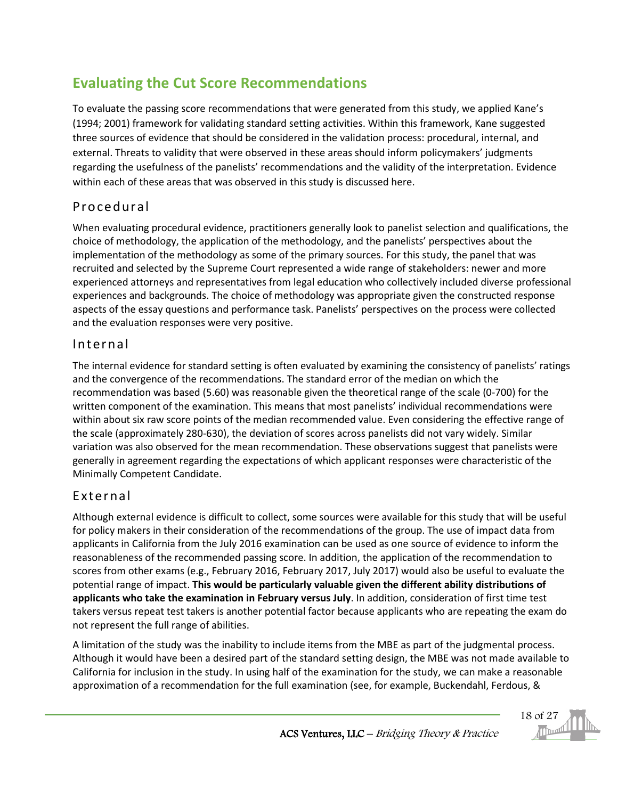## <span id="page-17-0"></span>**Evaluating the Cut Score Recommendations**

To evaluate the passing score recommendations that were generated from this study, we applied Kane's (1994; 2001) framework for validating standard setting activities. Within this framework, Kane suggested three sources of evidence that should be considered in the validation process: procedural, internal, and external. Threats to validity that were observed in these areas should inform policymakers' judgments regarding the usefulness of the panelists' recommendations and the validity of the interpretation. Evidence within each of these areas that was observed in this study is discussed here.

## <span id="page-17-1"></span>Procedural

When evaluating procedural evidence, practitioners generally look to panelist selection and qualifications, the choice of methodology, the application of the methodology, and the panelists' perspectives about the implementation of the methodology as some of the primary sources. For this study, the panel that was recruited and selected by the Supreme Court represented a wide range of stakeholders: newer and more experienced attorneys and representatives from legal education who collectively included diverse professional experiences and backgrounds. The choice of methodology was appropriate given the constructed response aspects of the essay questions and performance task. Panelists' perspectives on the process were collected and the evaluation responses were very positive.

### <span id="page-17-2"></span>Internal

The internal evidence for standard setting is often evaluated by examining the consistency of panelists' ratings and the convergence of the recommendations. The standard error of the median on which the recommendation was based (5.60) was reasonable given the theoretical range of the scale (0-700) for the written component of the examination. This means that most panelists' individual recommendations were within about six raw score points of the median recommended value. Even considering the effective range of the scale (approximately 280-630), the deviation of scores across panelists did not vary widely. Similar variation was also observed for the mean recommendation. These observations suggest that panelists were generally in agreement regarding the expectations of which applicant responses were characteristic of the Minimally Competent Candidate.

### <span id="page-17-3"></span>External

Although external evidence is difficult to collect, some sources were available for this study that will be useful for policy makers in their consideration of the recommendations of the group. The use of impact data from applicants in California from the July 2016 examination can be used as one source of evidence to inform the reasonableness of the recommended passing score. In addition, the application of the recommendation to scores from other exams (e.g., February 2016, February 2017, July 2017) would also be useful to evaluate the potential range of impact. **This would be particularly valuable given the different ability distributions of applicants who take the examination in February versus July**. In addition, consideration of first time test takers versus repeat test takers is another potential factor because applicants who are repeating the exam do not represent the full range of abilities.

A limitation of the study was the inability to include items from the MBE as part of the judgmental process. Although it would have been a desired part of the standard setting design, the MBE was not made available to California for inclusion in the study. In using half of the examination for the study, we can make a reasonable approximation of a recommendation for the full examination (see, for example, Buckendahl, Ferdous, &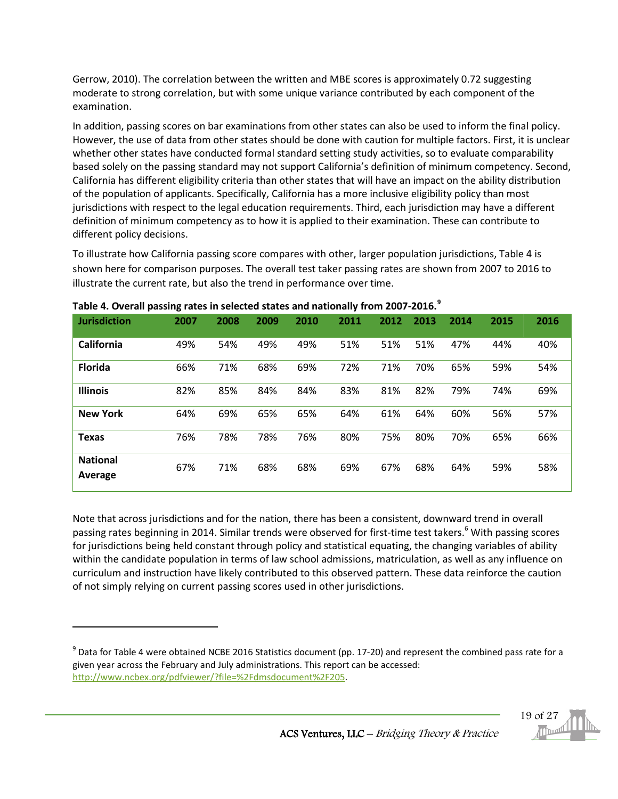Gerrow, 2010). The correlation between the written and MBE scores is approximately 0.72 suggesting moderate to strong correlation, but with some unique variance contributed by each component of the examination.

In addition, passing scores on bar examinations from other states can also be used to inform the final policy. However, the use of data from other states should be done with caution for multiple factors. First, it is unclear whether other states have conducted formal standard setting study activities, so to evaluate comparability based solely on the passing standard may not support California's definition of minimum competency. Second, California has different eligibility criteria than other states that will have an impact on the ability distribution of the population of applicants. Specifically, California has a more inclusive eligibility policy than most jurisdictions with respect to the legal education requirements. Third, each jurisdiction may have a different definition of minimum competency as to how it is applied to their examination. These can contribute to different policy decisions.

To illustrate how California passing score compares with other, larger population jurisdictions, Table 4 is shown here for comparison purposes. The overall test taker passing rates are shown from 2007 to 2016 to illustrate the current rate, but also the trend in performance over time.

| <b>Jurisdiction</b>        | 2007 | 2008 | 2009 | 2010 | 2011 | 2012 | 2013 | 2014 | 2015 | 2016 |
|----------------------------|------|------|------|------|------|------|------|------|------|------|
| California                 | 49%  | 54%  | 49%  | 49%  | 51%  | 51%  | 51%  | 47%  | 44%  | 40%  |
| <b>Florida</b>             | 66%  | 71%  | 68%  | 69%  | 72%  | 71%  | 70%  | 65%  | 59%  | 54%  |
| <b>Illinois</b>            | 82%  | 85%  | 84%  | 84%  | 83%  | 81%  | 82%  | 79%  | 74%  | 69%  |
| <b>New York</b>            | 64%  | 69%  | 65%  | 65%  | 64%  | 61%  | 64%  | 60%  | 56%  | 57%  |
| <b>Texas</b>               | 76%  | 78%  | 78%  | 76%  | 80%  | 75%  | 80%  | 70%  | 65%  | 66%  |
| <b>National</b><br>Average | 67%  | 71%  | 68%  | 68%  | 69%  | 67%  | 68%  | 64%  | 59%  | 58%  |

**Table 4. Overall passing rates in selected states and nationally from 2007-2016.[9](#page-18-0)**

 $\overline{\phantom{a}}$ 

Note that across jurisdictions and for the nation, there has been a consistent, downward trend in overall passing rates beginning in 2014. Similar trends were observed for first-time test takers. <sup>6</sup> With passing scores for jurisdictions being held constant through policy and statistical equating, the changing variables of ability within the candidate population in terms of law school admissions, matriculation, as well as any influence on curriculum and instruction have likely contributed to this observed pattern. These data reinforce the caution of not simply relying on current passing scores used in other jurisdictions.

<span id="page-18-0"></span> $9$  Data for Table 4 were obtained NCBE 2016 Statistics document (pp. 17-20) and represent the combined pass rate for a given year across the February and July administrations. This report can be accessed: [http://www.ncbex.org/pdfviewer/?file=%2Fdmsdocument%2F205.](http://www.ncbex.org/pdfviewer/?file=%2Fdmsdocument%2F205)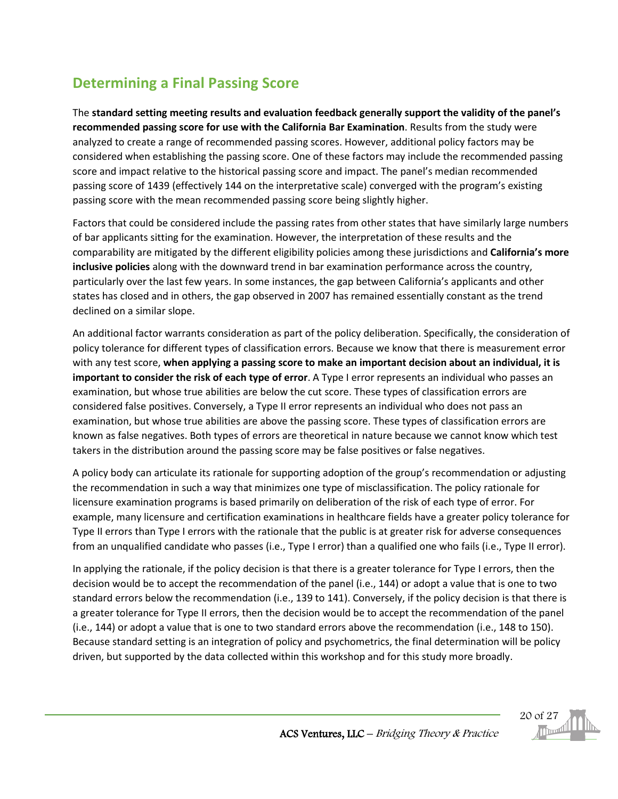## <span id="page-19-0"></span>**Determining a Final Passing Score**

The **standard setting meeting results and evaluation feedback generally support the validity of the panel's recommended passing score for use with the California Bar Examination**. Results from the study were analyzed to create a range of recommended passing scores. However, additional policy factors may be considered when establishing the passing score. One of these factors may include the recommended passing score and impact relative to the historical passing score and impact. The panel's median recommended passing score of 1439 (effectively 144 on the interpretative scale) converged with the program's existing passing score with the mean recommended passing score being slightly higher.

Factors that could be considered include the passing rates from other states that have similarly large numbers of bar applicants sitting for the examination. However, the interpretation of these results and the comparability are mitigated by the different eligibility policies among these jurisdictions and **California's more inclusive policies** along with the downward trend in bar examination performance across the country, particularly over the last few years. In some instances, the gap between California's applicants and other states has closed and in others, the gap observed in 2007 has remained essentially constant as the trend declined on a similar slope.

An additional factor warrants consideration as part of the policy deliberation. Specifically, the consideration of policy tolerance for different types of classification errors. Because we know that there is measurement error with any test score, **when applying a passing score to make an important decision about an individual, it is important to consider the risk of each type of error**. A Type I error represents an individual who passes an examination, but whose true abilities are below the cut score. These types of classification errors are considered false positives. Conversely, a Type II error represents an individual who does not pass an examination, but whose true abilities are above the passing score. These types of classification errors are known as false negatives. Both types of errors are theoretical in nature because we cannot know which test takers in the distribution around the passing score may be false positives or false negatives.

A policy body can articulate its rationale for supporting adoption of the group's recommendation or adjusting the recommendation in such a way that minimizes one type of misclassification. The policy rationale for licensure examination programs is based primarily on deliberation of the risk of each type of error. For example, many licensure and certification examinations in healthcare fields have a greater policy tolerance for Type II errors than Type I errors with the rationale that the public is at greater risk for adverse consequences from an unqualified candidate who passes (i.e., Type I error) than a qualified one who fails (i.e., Type II error).

In applying the rationale, if the policy decision is that there is a greater tolerance for Type I errors, then the decision would be to accept the recommendation of the panel (i.e., 144) or adopt a value that is one to two standard errors below the recommendation (i.e., 139 to 141). Conversely, if the policy decision is that there is a greater tolerance for Type II errors, then the decision would be to accept the recommendation of the panel (i.e., 144) or adopt a value that is one to two standard errors above the recommendation (i.e., 148 to 150). Because standard setting is an integration of policy and psychometrics, the final determination will be policy driven, but supported by the data collected within this workshop and for this study more broadly.

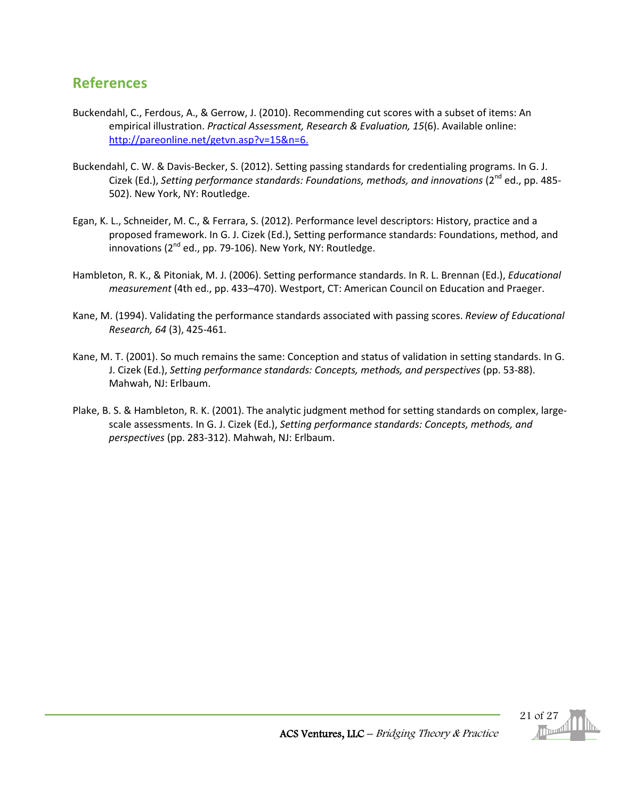### <span id="page-20-0"></span>**References**

- Buckendahl, C., Ferdous, A., & Gerrow, J. (2010). Recommending cut scores with a subset of items: An empirical illustration. *Practical Assessment, Research & Evaluation, 15*(6). Available online: http://pareonline.net/getvn.asp?v=15&n=6.
- Buckendahl, C. W. & Davis-Becker, S. (2012). Setting passing standards for credentialing programs. In G. J. Cizek (Ed.), *Setting performance standards: Foundations, methods, and innovations* (2nd ed., pp. 485- 502). New York, NY: Routledge.
- Egan, K. L., Schneider, M. C., & Ferrara, S. (2012). Performance level descriptors: History, practice and a proposed framework. In G. J. Cizek (Ed.), Setting performance standards: Foundations, method, and innovations ( $2^{nd}$  ed., pp. 79-106). New York, NY: Routledge.
- Hambleton, R. K., & Pitoniak, M. J. (2006). Setting performance standards. In R. L. Brennan (Ed.), *Educational measurement* (4th ed., pp. 433–470). Westport, CT: American Council on Education and Praeger.
- Kane, M. (1994). Validating the performance standards associated with passing scores. *Review of Educational Research, 64* (3), 425-461.
- Kane, M. T. (2001). So much remains the same: Conception and status of validation in setting standards. In G. J. Cizek (Ed.), *Setting performance standards: Concepts, methods, and perspectives* (pp. 53-88). Mahwah, NJ: Erlbaum.
- Plake, B. S. & Hambleton, R. K. (2001). The analytic judgment method for setting standards on complex, largescale assessments. In G. J. Cizek (Ed.), *Setting performance standards: Concepts, methods, and perspectives* (pp. 283-312). Mahwah, NJ: Erlbaum.

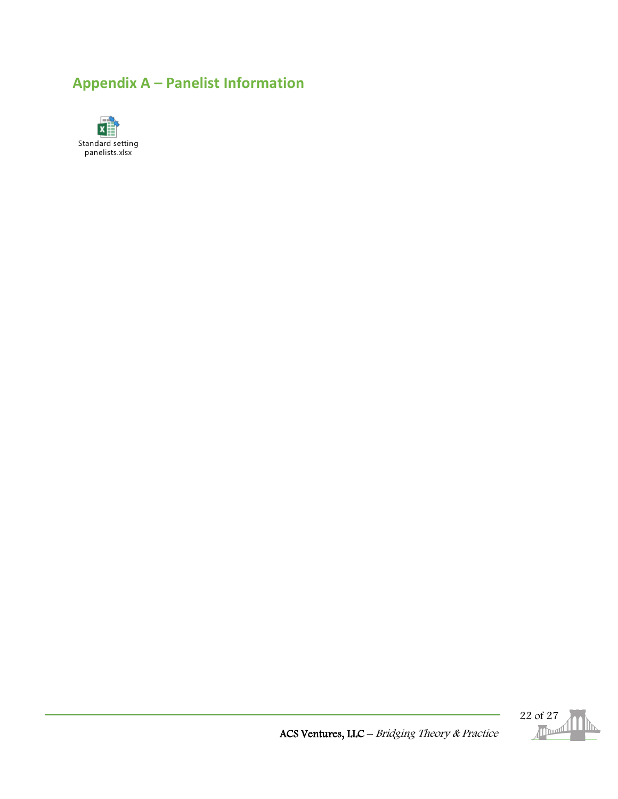## <span id="page-21-0"></span>**Appendix A – Panelist Information**





ACS Ventures, LLC – Bridging Theory & Practice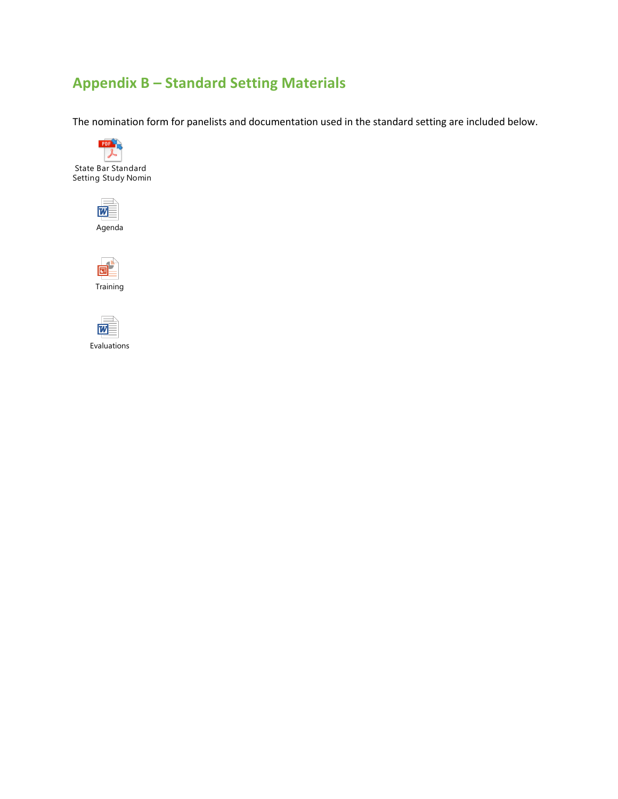## <span id="page-22-0"></span>**Appendix B – Standard Setting Materials**

The nomination form for panelists and documentation used in the standard setting are included below.







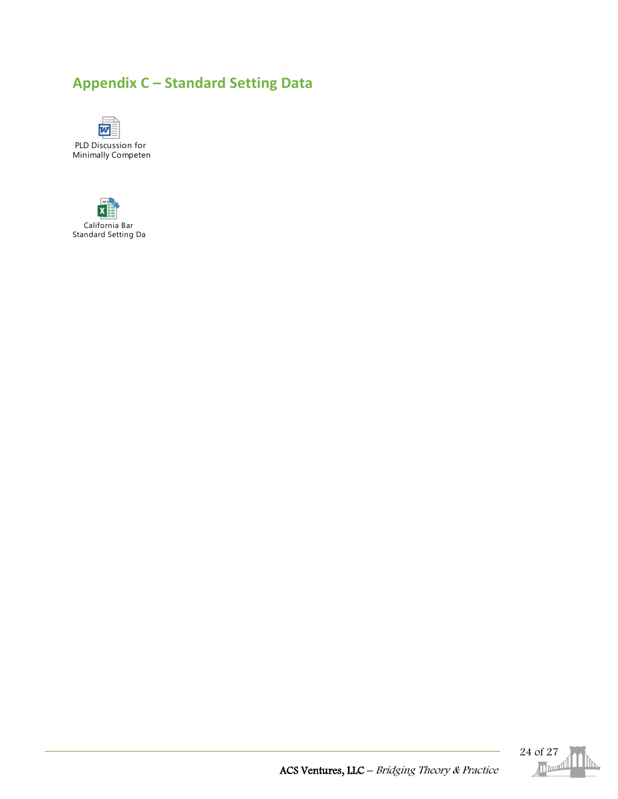## <span id="page-23-0"></span>**Appendix C – Standard Setting Data**







ACS Ventures, LLC – Bridging Theory & Practice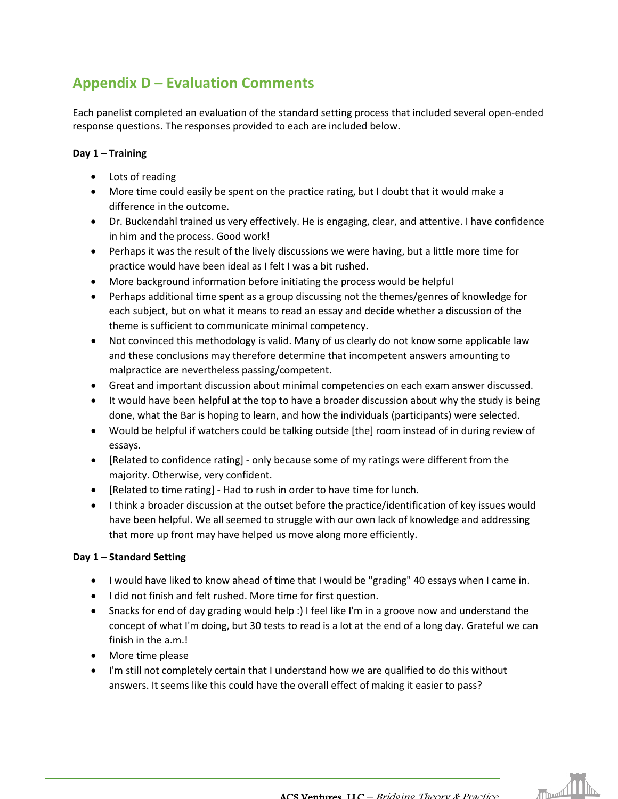## <span id="page-24-0"></span>**Appendix D – Evaluation Comments**

Each panelist completed an evaluation of the standard setting process that included several open-ended response questions. The responses provided to each are included below.

#### **Day 1 – Training**

- Lots of reading
- More time could easily be spent on the practice rating, but I doubt that it would make a difference in the outcome.
- Dr. Buckendahl trained us very effectively. He is engaging, clear, and attentive. I have confidence in him and the process. Good work!
- Perhaps it was the result of the lively discussions we were having, but a little more time for practice would have been ideal as I felt I was a bit rushed.
- More background information before initiating the process would be helpful
- Perhaps additional time spent as a group discussing not the themes/genres of knowledge for each subject, but on what it means to read an essay and decide whether a discussion of the theme is sufficient to communicate minimal competency.
- Not convinced this methodology is valid. Many of us clearly do not know some applicable law and these conclusions may therefore determine that incompetent answers amounting to malpractice are nevertheless passing/competent.
- Great and important discussion about minimal competencies on each exam answer discussed.
- It would have been helpful at the top to have a broader discussion about why the study is being done, what the Bar is hoping to learn, and how the individuals (participants) were selected.
- Would be helpful if watchers could be talking outside [the] room instead of in during review of essays.
- [Related to confidence rating] only because some of my ratings were different from the majority. Otherwise, very confident.
- [Related to time rating] Had to rush in order to have time for lunch.
- I think a broader discussion at the outset before the practice/identification of key issues would have been helpful. We all seemed to struggle with our own lack of knowledge and addressing that more up front may have helped us move along more efficiently.

#### **Day 1 – Standard Setting**

- I would have liked to know ahead of time that I would be "grading" 40 essays when I came in.
- I did not finish and felt rushed. More time for first question.
- Snacks for end of day grading would help :) I feel like I'm in a groove now and understand the concept of what I'm doing, but 30 tests to read is a lot at the end of a long day. Grateful we can finish in the a.m.!
- More time please
- I'm still not completely certain that I understand how we are qualified to do this without answers. It seems like this could have the overall effect of making it easier to pass?

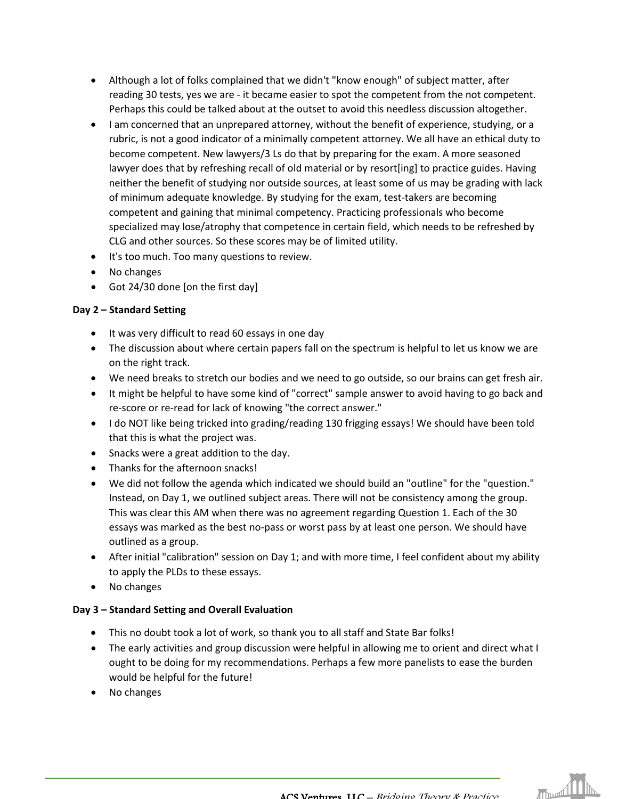- Although a lot of folks complained that we didn't "know enough" of subject matter, after reading 30 tests, yes we are - it became easier to spot the competent from the not competent. Perhaps this could be talked about at the outset to avoid this needless discussion altogether.
- I am concerned that an unprepared attorney, without the benefit of experience, studying, or a rubric, is not a good indicator of a minimally competent attorney. We all have an ethical duty to become competent. New lawyers/3 Ls do that by preparing for the exam. A more seasoned lawyer does that by refreshing recall of old material or by resort[ing] to practice guides. Having neither the benefit of studying nor outside sources, at least some of us may be grading with lack of minimum adequate knowledge. By studying for the exam, test-takers are becoming competent and gaining that minimal competency. Practicing professionals who become specialized may lose/atrophy that competence in certain field, which needs to be refreshed by CLG and other sources. So these scores may be of limited utility.
- It's too much. Too many questions to review.
- No changes
- Got 24/30 done [on the first day]

#### **Day 2 – Standard Setting**

- It was very difficult to read 60 essays in one day
- The discussion about where certain papers fall on the spectrum is helpful to let us know we are on the right track.
- We need breaks to stretch our bodies and we need to go outside, so our brains can get fresh air.
- It might be helpful to have some kind of "correct" sample answer to avoid having to go back and re-score or re-read for lack of knowing "the correct answer."
- I do NOT like being tricked into grading/reading 130 frigging essays! We should have been told that this is what the project was.
- Snacks were a great addition to the day.
- Thanks for the afternoon snacks!
- We did not follow the agenda which indicated we should build an "outline" for the "question." Instead, on Day 1, we outlined subject areas. There will not be consistency among the group. This was clear this AM when there was no agreement regarding Question 1. Each of the 30 essays was marked as the best no-pass or worst pass by at least one person. We should have outlined as a group.
- After initial "calibration" session on Day 1; and with more time, I feel confident about my ability to apply the PLDs to these essays.
- No changes

#### **Day 3 – Standard Setting and Overall Evaluation**

- This no doubt took a lot of work, so thank you to all staff and State Bar folks!
- The early activities and group discussion were helpful in allowing me to orient and direct what I ought to be doing for my recommendations. Perhaps a few more panelists to ease the burden would be helpful for the future!
- No changes